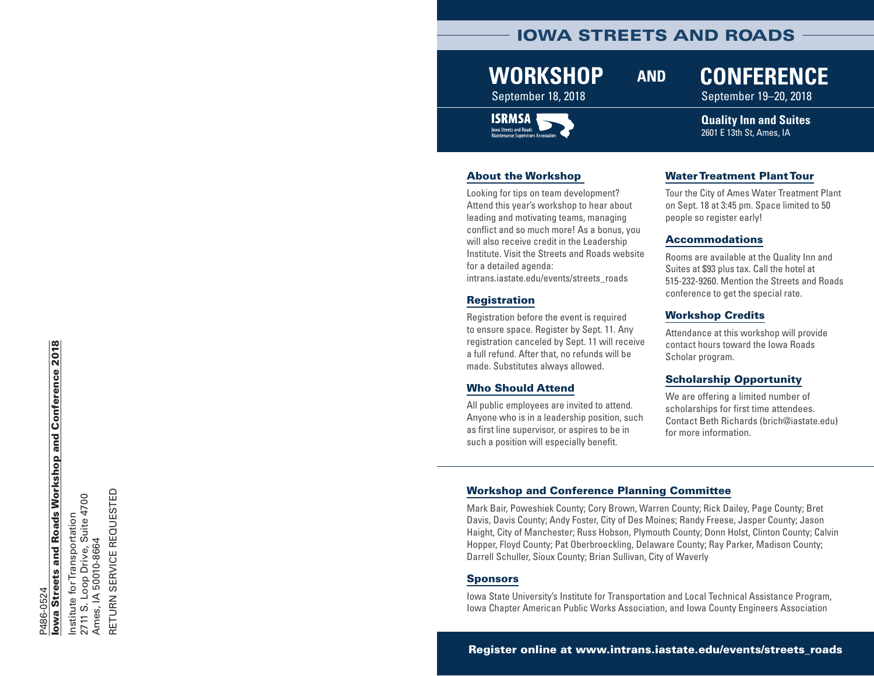### IOWA STREETS AND ROADS

## **WORKSHOP**

#### September 18, 2018 September 19–20, 2018



#### About the Workshop

Looking for tips on team development? Attend this year's workshop to hear about leading and motivating teams, managing conflict and so much more! As a bonus, you will also receive credit in the Leadership Institute. Visit the Streets and Roads website for a detailed agenda: [intrans.iastate.edu/events/streets\\_roads](http://www.intrans.iastate.edu/events/streets_roads/)

#### Registration

Registration before the event is required to ensure space. Register by Sept. 11. Any registration canceled by Sept. 11 will receive a full refund. After that, no refunds will be made. Substitutes always allowed.

#### Who Should Attend

All public employees are invited to attend. Anyone who is in a leadership position, such as first line supervisor, or aspires to be in such a position will especially benefit.

#### Water Treatment Plant Tour

**AND CONFERENCE**

Tour the City of Ames Water Treatment Plant on Sept. 18 at 3:45 pm. Space limited to 50 people so register early!

**Quality Inn and Suites** 2601 E 13th St, Ames, IA

#### Accommodations

Rooms are available at the Quality Inn and Suites at \$93 plus tax. Call the hotel at 515-232-9260. Mention the Streets and Roads conference to get the special rate.

#### Workshop Credits

Attendance at this workshop will provide contact hours toward the Iowa Roads Scholar program.

#### Scholarship Opportunity

We are offering a limited number of scholarships for first time attendees. Contact Beth Richards (brich@iastate.edu) for more information.

#### Workshop and Conference Planning Committee

Mark Bair, Poweshiek County; Cory Brown, Warren County; Rick Dailey, Page County; Bret Davis, Davis County; Andy Foster, City of Des Moines; Randy Freese, Jasper County; Jason Haight, City of Manchester; Russ Hobson, Plymouth County; Donn Holst, Clinton County; Calvin Hopper, Floyd County; Pat Oberbroeckling, Delaware County; Ray Parker, Madison County; Darrell Schuller, Sioux County; Brian Sullivan, City of Waverly

#### Sponsors

Iowa State University's Institute for Transportation and Local Technical Assistance Program, Iowa Chapter American Public Works Association, and Iowa County Engineers Association

Register online at [www.intrans.iastate.edu/events/streets\\_roads](http://www.intrans.iastate.edu/events/streets_roads/)

# lowa Streets and Roads Workshop and Conference 2018 Iowa Streets and Roads Workshop and Conference 2018 P486-0524 P486-0524

Institute for Transportation<br>2711 S. Loop Drive, Suite 4700<br>Ames, IA 50010-8664 2711 S. Loop Drive, Suite 4700 Institute for Transportation Ames, IA 50010-8664

RETURN SERVICE REQUESTED

RETURN SERVICE REQUESTED